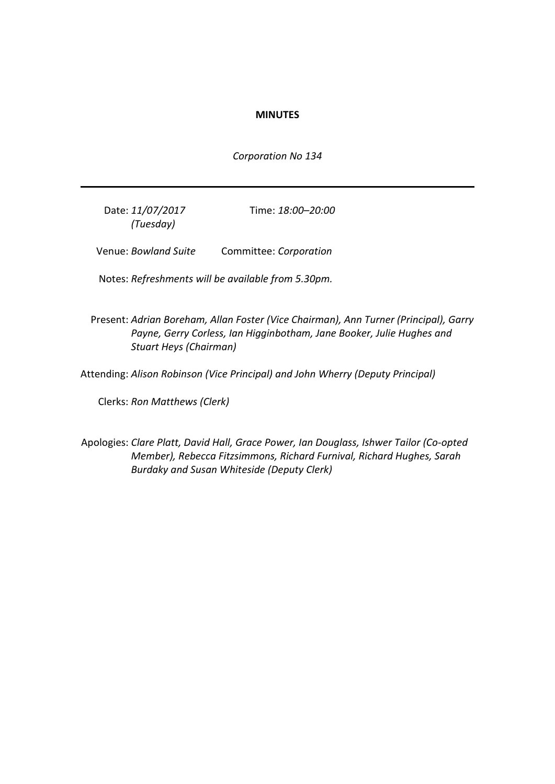## **MINUTES**

*Corporation No 134*

Date: *11/07/2017 (Tuesday)*

Time: *18:00–20:00*

Venue: *Bowland Suite* Committee: *Corporation*

Notes: *Refreshments will be available from 5.30pm.*

Present: *Adrian Boreham, Allan Foster (Vice Chairman), Ann Turner (Principal), Garry Payne, Gerry Corless, Ian Higginbotham, Jane Booker, Julie Hughes and Stuart Heys (Chairman)*

Attending: *Alison Robinson (Vice Principal) and John Wherry (Deputy Principal)*

Clerks: *Ron Matthews (Clerk)*

Apologies: *Clare Platt, David Hall, Grace Power, Ian Douglass, Ishwer Tailor (Co-opted Member), Rebecca Fitzsimmons, Richard Furnival, Richard Hughes, Sarah Burdaky and Susan Whiteside (Deputy Clerk)*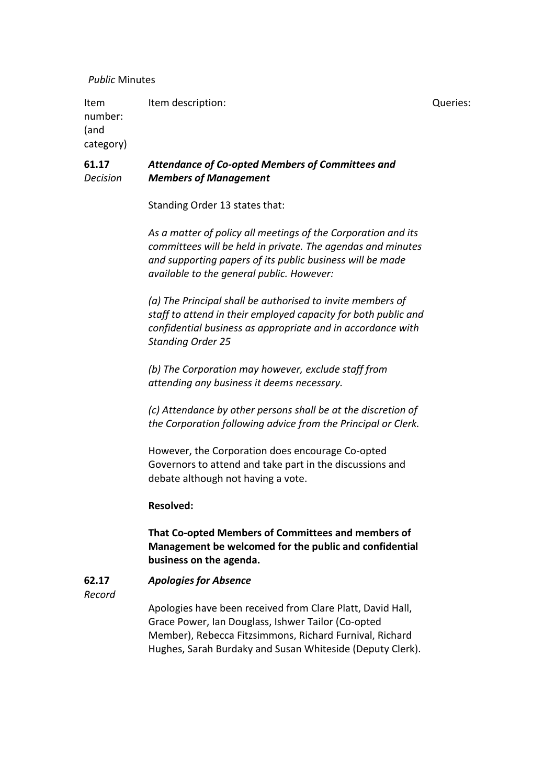## *Public* Minutes

Item number: (and category) Item description:  $Queries$ :

#### **61.17** *Decision Attendance of Co-opted Members of Committees and Members of Management*

Standing Order 13 states that:

*As a matter of policy all meetings of the Corporation and its committees will be held in private. The agendas and minutes and supporting papers of its public business will be made available to the general public. However:*

*(a) The Principal shall be authorised to invite members of staff to attend in their employed capacity for both public and confidential business as appropriate and in accordance with Standing Order 25*

*(b) The Corporation may however, exclude staff from attending any business it deems necessary.*

*(c) Attendance by other persons shall be at the discretion of the Corporation following advice from the Principal or Clerk.*

However, the Corporation does encourage Co-opted Governors to attend and take part in the discussions and debate although not having a vote.

# **Resolved:**

**That Co-opted Members of Committees and members of Management be welcomed for the public and confidential business on the agenda.**

#### **62.17** *Apologies for Absence*

*Record*

Apologies have been received from Clare Platt, David Hall, Grace Power, Ian Douglass, Ishwer Tailor (Co-opted Member), Rebecca Fitzsimmons, Richard Furnival, Richard Hughes, Sarah Burdaky and Susan Whiteside (Deputy Clerk).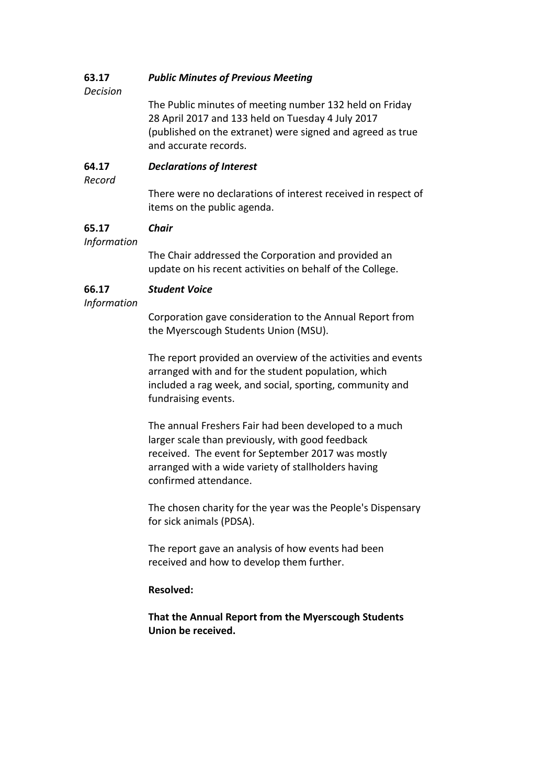#### **63.17** *Public Minutes of Previous Meeting*

*Decision*

The Public minutes of meeting number 132 held on Friday 28 April 2017 and 133 held on Tuesday 4 July 2017 (published on the extranet) were signed and agreed as true and accurate records.

#### **64.17** *Declarations of Interest*

*Record*

There were no declarations of interest received in respect of items on the public agenda.

#### **65.17** *Chair*

*Information*

The Chair addressed the Corporation and provided an update on his recent activities on behalf of the College.

#### **66.17** *Student Voice*

*Information*

Corporation gave consideration to the Annual Report from the Myerscough Students Union (MSU).

The report provided an overview of the activities and events arranged with and for the student population, which included a rag week, and social, sporting, community and fundraising events.

The annual Freshers Fair had been developed to a much larger scale than previously, with good feedback received. The event for September 2017 was mostly arranged with a wide variety of stallholders having confirmed attendance.

The chosen charity for the year was the People's Dispensary for sick animals (PDSA).

The report gave an analysis of how events had been received and how to develop them further.

# **Resolved:**

**That the Annual Report from the Myerscough Students Union be received.**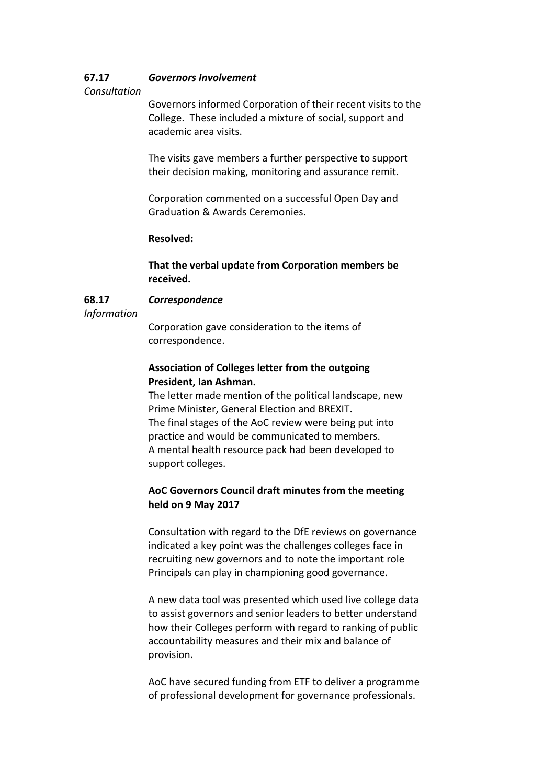#### **67.17** *Governors Involvement*

## *Consultation*

Governors informed Corporation of their recent visits to the College. These included a mixture of social, support and academic area visits.

The visits gave members a further perspective to support their decision making, monitoring and assurance remit.

Corporation commented on a successful Open Day and Graduation & Awards Ceremonies.

## **Resolved:**

**That the verbal update from Corporation members be received.**

#### **68.17** *Correspondence*

*Information*

Corporation gave consideration to the items of correspondence.

# **Association of Colleges letter from the outgoing President, Ian Ashman.**

The letter made mention of the political landscape, new Prime Minister, General Election and BREXIT. The final stages of the AoC review were being put into practice and would be communicated to members. A mental health resource pack had been developed to support colleges.

# **AoC Governors Council draft minutes from the meeting held on 9 May 2017**

Consultation with regard to the DfE reviews on governance indicated a key point was the challenges colleges face in recruiting new governors and to note the important role Principals can play in championing good governance.

A new data tool was presented which used live college data to assist governors and senior leaders to better understand how their Colleges perform with regard to ranking of public accountability measures and their mix and balance of provision.

AoC have secured funding from ETF to deliver a programme of professional development for governance professionals.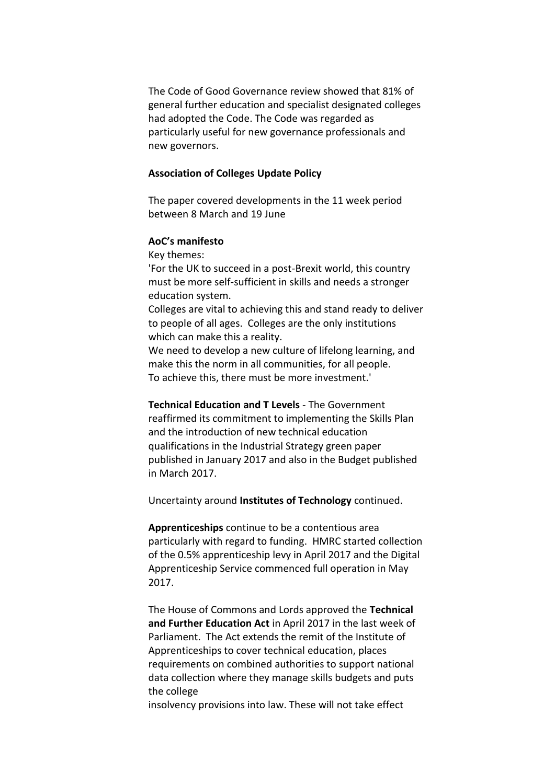The Code of Good Governance review showed that 81% of general further education and specialist designated colleges had adopted the Code. The Code was regarded as particularly useful for new governance professionals and new governors.

## **Association of Colleges Update Policy**

The paper covered developments in the 11 week period between 8 March and 19 June

# **AoC's manifesto**

Key themes:

'For the UK to succeed in a post-Brexit world, this country must be more self-sufficient in skills and needs a stronger education system.

Colleges are vital to achieving this and stand ready to deliver to people of all ages. Colleges are the only institutions which can make this a reality.

We need to develop a new culture of lifelong learning, and make this the norm in all communities, for all people. To achieve this, there must be more investment.'

**Technical Education and T Levels** - The Government reaffirmed its commitment to implementing the Skills Plan and the introduction of new technical education qualifications in the Industrial Strategy green paper published in January 2017 and also in the Budget published in March 2017.

Uncertainty around **Institutes of Technology** continued.

**Apprenticeships** continue to be a contentious area particularly with regard to funding. HMRC started collection of the 0.5% apprenticeship levy in April 2017 and the Digital Apprenticeship Service commenced full operation in May 2017.

The House of Commons and Lords approved the **Technical and Further Education Act** in April 2017 in the last week of Parliament. The Act extends the remit of the Institute of Apprenticeships to cover technical education, places requirements on combined authorities to support national data collection where they manage skills budgets and puts the college

insolvency provisions into law. These will not take effect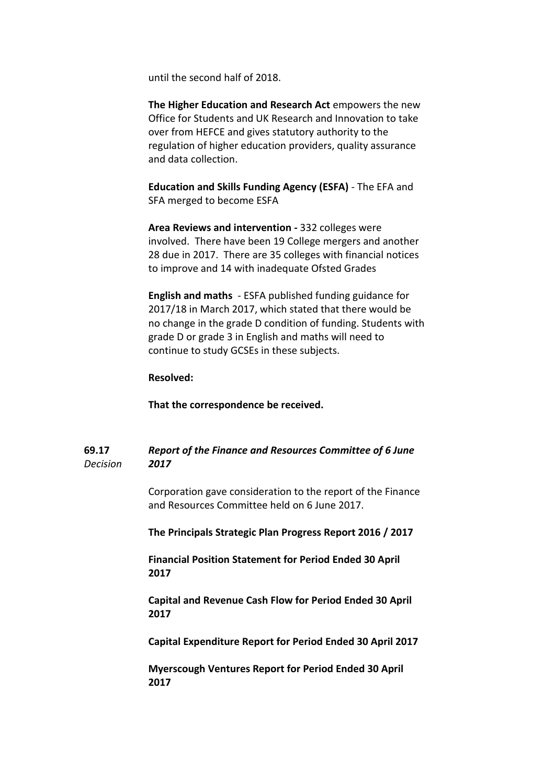until the second half of 2018.

**The Higher Education and Research Act** empowers the new Office for Students and UK Research and Innovation to take over from HEFCE and gives statutory authority to the regulation of higher education providers, quality assurance and data collection.

**Education and Skills Funding Agency (ESFA)** - The EFA and SFA merged to become ESFA

**Area Reviews and intervention -** 332 colleges were involved. There have been 19 College mergers and another 28 due in 2017. There are 35 colleges with financial notices to improve and 14 with inadequate Ofsted Grades

**English and maths** - ESFA published funding guidance for 2017/18 in March 2017, which stated that there would be no change in the grade D condition of funding. Students with grade D or grade 3 in English and maths will need to continue to study GCSEs in these subjects.

## **Resolved:**

**That the correspondence be received.**

#### **69.17** *Decision Report of the Finance and Resources Committee of 6 June 2017*

Corporation gave consideration to the report of the Finance and Resources Committee held on 6 June 2017.

**The Principals Strategic Plan Progress Report 2016 / 2017**

**Financial Position Statement for Period Ended 30 April 2017**

**Capital and Revenue Cash Flow for Period Ended 30 April 2017**

**Capital Expenditure Report for Period Ended 30 April 2017**

**Myerscough Ventures Report for Period Ended 30 April 2017**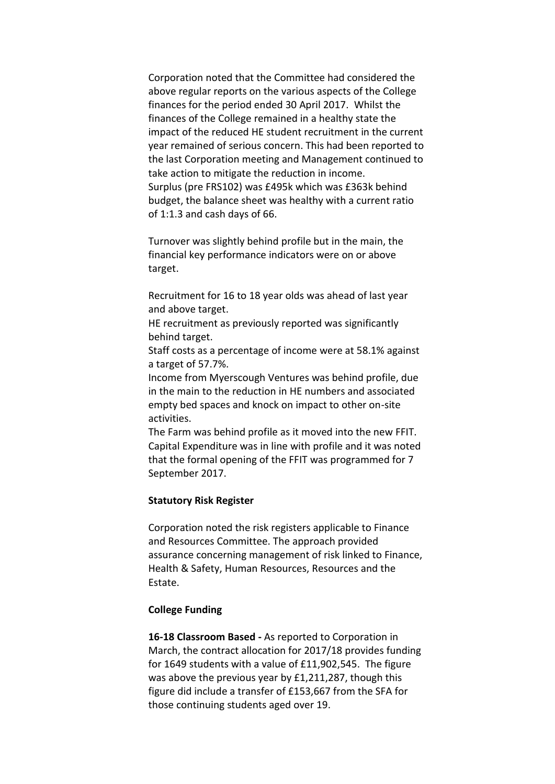Corporation noted that the Committee had considered the above regular reports on the various aspects of the College finances for the period ended 30 April 2017. Whilst the finances of the College remained in a healthy state the impact of the reduced HE student recruitment in the current year remained of serious concern. This had been reported to the last Corporation meeting and Management continued to take action to mitigate the reduction in income. Surplus (pre FRS102) was £495k which was £363k behind budget, the balance sheet was healthy with a current ratio of 1:1.3 and cash days of 66.

Turnover was slightly behind profile but in the main, the financial key performance indicators were on or above target.

Recruitment for 16 to 18 year olds was ahead of last year and above target.

HE recruitment as previously reported was significantly behind target.

Staff costs as a percentage of income were at 58.1% against a target of 57.7%.

Income from Myerscough Ventures was behind profile, due in the main to the reduction in HE numbers and associated empty bed spaces and knock on impact to other on-site activities.

The Farm was behind profile as it moved into the new FFIT. Capital Expenditure was in line with profile and it was noted that the formal opening of the FFIT was programmed for 7 September 2017.

## **Statutory Risk Register**

Corporation noted the risk registers applicable to Finance and Resources Committee. The approach provided assurance concerning management of risk linked to Finance, Health & Safety, Human Resources, Resources and the Estate.

# **College Funding**

**16-18 Classroom Based -** As reported to Corporation in March, the contract allocation for 2017/18 provides funding for 1649 students with a value of £11,902,545. The figure was above the previous year by £1,211,287, though this figure did include a transfer of £153,667 from the SFA for those continuing students aged over 19.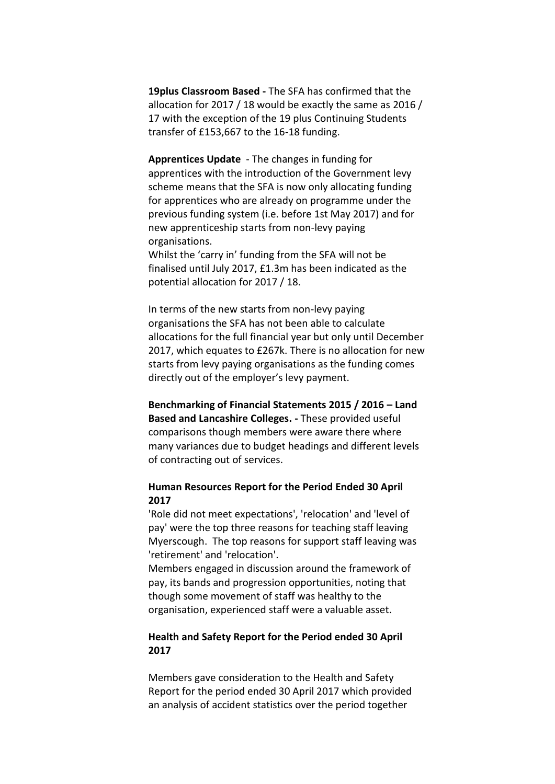**19plus Classroom Based -** The SFA has confirmed that the allocation for 2017 / 18 would be exactly the same as 2016 / 17 with the exception of the 19 plus Continuing Students transfer of £153,667 to the 16-18 funding.

**Apprentices Update** - The changes in funding for apprentices with the introduction of the Government levy scheme means that the SFA is now only allocating funding for apprentices who are already on programme under the previous funding system (i.e. before 1st May 2017) and for new apprenticeship starts from non-levy paying organisations.

Whilst the 'carry in' funding from the SFA will not be finalised until July 2017, £1.3m has been indicated as the potential allocation for 2017 / 18.

In terms of the new starts from non-levy paying organisations the SFA has not been able to calculate allocations for the full financial year but only until December 2017, which equates to £267k. There is no allocation for new starts from levy paying organisations as the funding comes directly out of the employer's levy payment.

**Benchmarking of Financial Statements 2015 / 2016 – Land Based and Lancashire Colleges. -** These provided useful comparisons though members were aware there where many variances due to budget headings and different levels of contracting out of services.

# **Human Resources Report for the Period Ended 30 April 2017**

'Role did not meet expectations', 'relocation' and 'level of pay' were the top three reasons for teaching staff leaving Myerscough. The top reasons for support staff leaving was 'retirement' and 'relocation'.

Members engaged in discussion around the framework of pay, its bands and progression opportunities, noting that though some movement of staff was healthy to the organisation, experienced staff were a valuable asset.

# **Health and Safety Report for the Period ended 30 April 2017**

Members gave consideration to the Health and Safety Report for the period ended 30 April 2017 which provided an analysis of accident statistics over the period together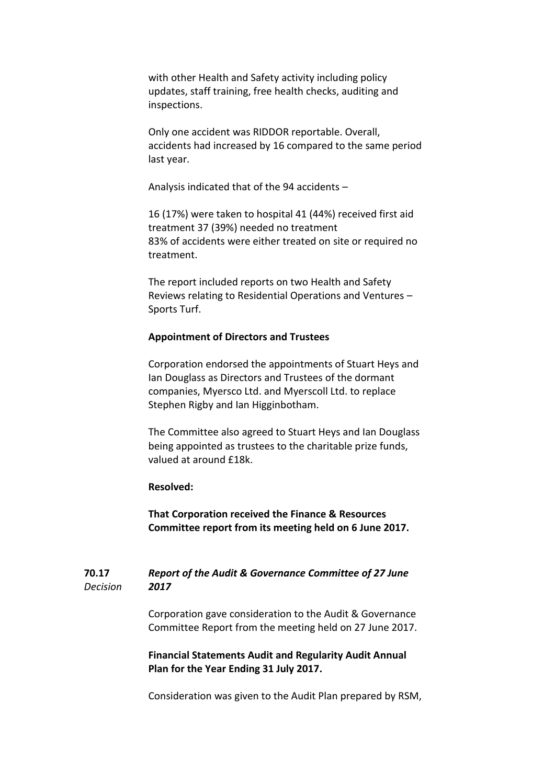with other Health and Safety activity including policy updates, staff training, free health checks, auditing and inspections.

Only one accident was RIDDOR reportable. Overall, accidents had increased by 16 compared to the same period last year.

Analysis indicated that of the 94 accidents –

16 (17%) were taken to hospital 41 (44%) received first aid treatment 37 (39%) needed no treatment 83% of accidents were either treated on site or required no treatment.

The report included reports on two Health and Safety Reviews relating to Residential Operations and Ventures – Sports Turf.

### **Appointment of Directors and Trustees**

Corporation endorsed the appointments of Stuart Heys and Ian Douglass as Directors and Trustees of the dormant companies, Myersco Ltd. and Myerscoll Ltd. to replace Stephen Rigby and Ian Higginbotham.

The Committee also agreed to Stuart Heys and Ian Douglass being appointed as trustees to the charitable prize funds, valued at around £18k.

## **Resolved:**

**That Corporation received the Finance & Resources Committee report from its meeting held on 6 June 2017.**

#### **70.17** *Decision Report of the Audit & Governance Committee of 27 June 2017*

Corporation gave consideration to the Audit & Governance Committee Report from the meeting held on 27 June 2017.

# **Financial Statements Audit and Regularity Audit Annual Plan for the Year Ending 31 July 2017.**

Consideration was given to the Audit Plan prepared by RSM,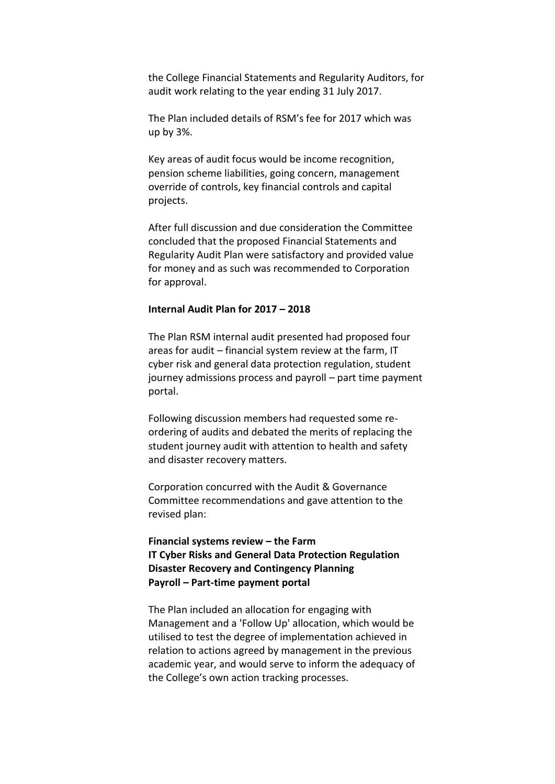the College Financial Statements and Regularity Auditors, for audit work relating to the year ending 31 July 2017.

The Plan included details of RSM's fee for 2017 which was up by 3%.

Key areas of audit focus would be income recognition, pension scheme liabilities, going concern, management override of controls, key financial controls and capital projects.

After full discussion and due consideration the Committee concluded that the proposed Financial Statements and Regularity Audit Plan were satisfactory and provided value for money and as such was recommended to Corporation for approval.

## **Internal Audit Plan for 2017 – 2018**

The Plan RSM internal audit presented had proposed four areas for audit – financial system review at the farm, IT cyber risk and general data protection regulation, student journey admissions process and payroll – part time payment portal.

Following discussion members had requested some reordering of audits and debated the merits of replacing the student journey audit with attention to health and safety and disaster recovery matters.

Corporation concurred with the Audit & Governance Committee recommendations and gave attention to the revised plan:

**Financial systems review – the Farm IT Cyber Risks and General Data Protection Regulation Disaster Recovery and Contingency Planning Payroll – Part-time payment portal**

The Plan included an allocation for engaging with Management and a 'Follow Up' allocation, which would be utilised to test the degree of implementation achieved in relation to actions agreed by management in the previous academic year, and would serve to inform the adequacy of the College's own action tracking processes.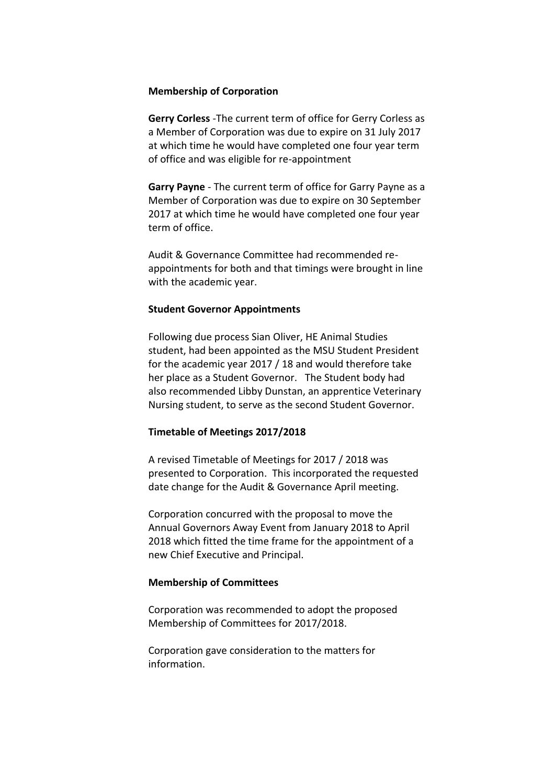### **Membership of Corporation**

**Gerry Corless** -The current term of office for Gerry Corless as a Member of Corporation was due to expire on 31 July 2017 at which time he would have completed one four year term of office and was eligible for re-appointment

**Garry Payne** - The current term of office for Garry Payne as a Member of Corporation was due to expire on 30 September 2017 at which time he would have completed one four year term of office.

Audit & Governance Committee had recommended reappointments for both and that timings were brought in line with the academic year.

## **Student Governor Appointments**

Following due process Sian Oliver, HE Animal Studies student, had been appointed as the MSU Student President for the academic year 2017 / 18 and would therefore take her place as a Student Governor. The Student body had also recommended Libby Dunstan, an apprentice Veterinary Nursing student, to serve as the second Student Governor.

## **Timetable of Meetings 2017/2018**

A revised Timetable of Meetings for 2017 / 2018 was presented to Corporation. This incorporated the requested date change for the Audit & Governance April meeting.

Corporation concurred with the proposal to move the Annual Governors Away Event from January 2018 to April 2018 which fitted the time frame for the appointment of a new Chief Executive and Principal.

### **Membership of Committees**

Corporation was recommended to adopt the proposed Membership of Committees for 2017/2018.

Corporation gave consideration to the matters for information.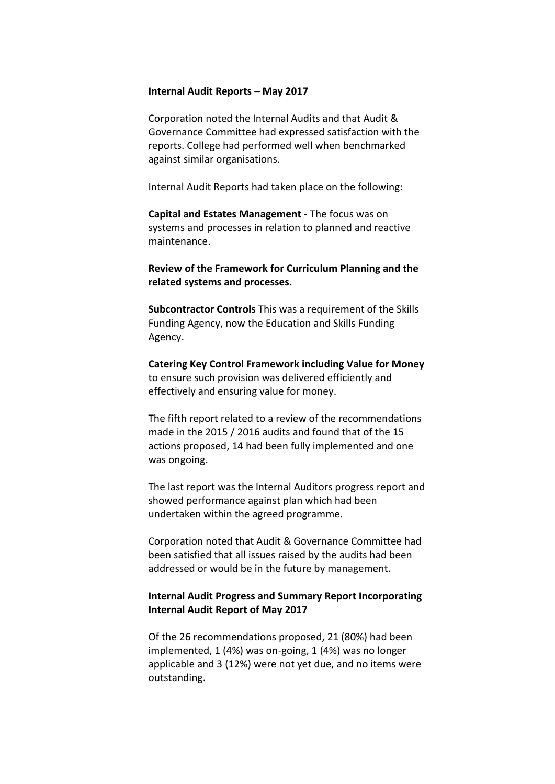### **Internal Audit Reports – May 2017**

Corporation noted the Internal Audits and that Audit & Governance Committee had expressed satisfaction with the reports. College had performed well when benchmarked against similar organisations.

Internal Audit Reports had taken place on the following:

**Capital and Estates Management -** The focus was on systems and processes in relation to planned and reactive maintenance.

**Review of the Framework for Curriculum Planning and the related systems and processes.**

**Subcontractor Controls** This was a requirement of the Skills Funding Agency, now the Education and Skills Funding Agency.

**Catering Key Control Framework including Value for Money** to ensure such provision was delivered efficiently and effectively and ensuring value for money.

The fifth report related to a review of the recommendations made in the 2015 / 2016 audits and found that of the 15 actions proposed, 14 had been fully implemented and one was ongoing.

The last report was the Internal Auditors progress report and showed performance against plan which had been undertaken within the agreed programme.

Corporation noted that Audit & Governance Committee had been satisfied that all issues raised by the audits had been addressed or would be in the future by management.

# **Internal Audit Progress and Summary Report Incorporating Internal Audit Report of May 2017**

Of the 26 recommendations proposed, 21 (80%) had been implemented, 1 (4%) was on-going, 1 (4%) was no longer applicable and 3 (12%) were not yet due, and no items were outstanding.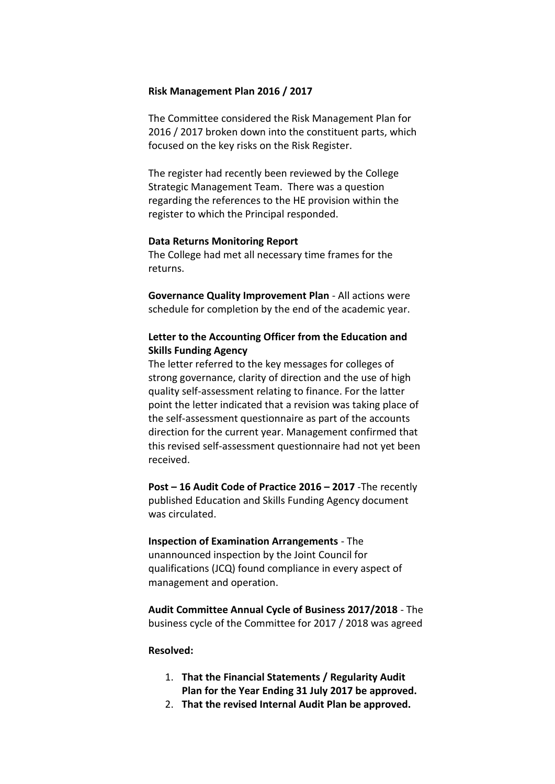### **Risk Management Plan 2016 / 2017**

The Committee considered the Risk Management Plan for 2016 / 2017 broken down into the constituent parts, which focused on the key risks on the Risk Register.

The register had recently been reviewed by the College Strategic Management Team. There was a question regarding the references to the HE provision within the register to which the Principal responded.

### **Data Returns Monitoring Report**

The College had met all necessary time frames for the returns.

**Governance Quality Improvement Plan** - All actions were schedule for completion by the end of the academic year.

# **Letter to the Accounting Officer from the Education and Skills Funding Agency**

The letter referred to the key messages for colleges of strong governance, clarity of direction and the use of high quality self-assessment relating to finance. For the latter point the letter indicated that a revision was taking place of the self-assessment questionnaire as part of the accounts direction for the current year. Management confirmed that this revised self-assessment questionnaire had not yet been received.

**Post – 16 Audit Code of Practice 2016 – 2017** -The recently published Education and Skills Funding Agency document was circulated.

**Inspection of Examination Arrangements** - The unannounced inspection by the Joint Council for qualifications (JCQ) found compliance in every aspect of management and operation.

**Audit Committee Annual Cycle of Business 2017/2018** - The business cycle of the Committee for 2017 / 2018 was agreed

## **Resolved:**

- 1. **That the Financial Statements / Regularity Audit Plan for the Year Ending 31 July 2017 be approved.**
- 2. **That the revised Internal Audit Plan be approved.**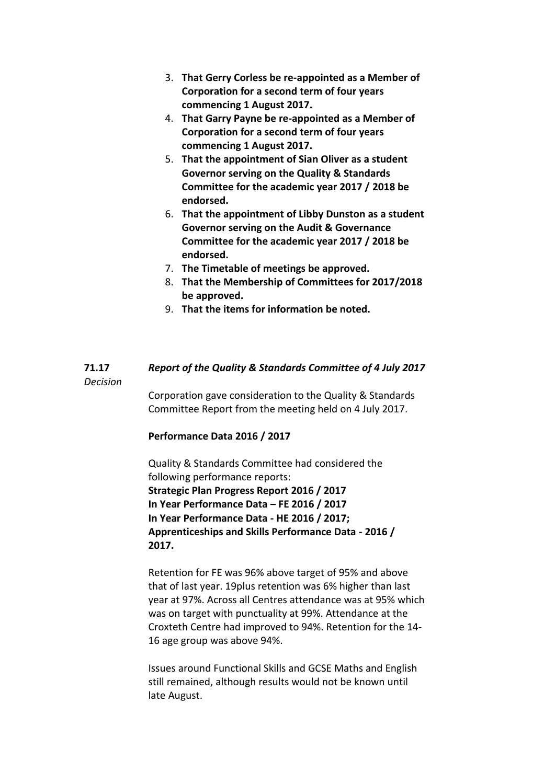- 3. **That Gerry Corless be re-appointed as a Member of Corporation for a second term of four years commencing 1 August 2017.**
- 4. **That Garry Payne be re-appointed as a Member of Corporation for a second term of four years commencing 1 August 2017.**
- 5. **That the appointment of Sian Oliver as a student Governor serving on the Quality & Standards Committee for the academic year 2017 / 2018 be endorsed.**
- 6. **That the appointment of Libby Dunston as a student Governor serving on the Audit & Governance Committee for the academic year 2017 / 2018 be endorsed.**
- 7. **The Timetable of meetings be approved.**
- 8. **That the Membership of Committees for 2017/2018 be approved.**
- 9. **That the items for information be noted.**

#### **71.17** *Report of the Quality & Standards Committee of 4 July 2017*

*Decision*

Corporation gave consideration to the Quality & Standards Committee Report from the meeting held on 4 July 2017.

# **Performance Data 2016 / 2017**

Quality & Standards Committee had considered the following performance reports: **Strategic Plan Progress Report 2016 / 2017 In Year Performance Data – FE 2016 / 2017 In Year Performance Data - HE 2016 / 2017; Apprenticeships and Skills Performance Data - 2016 / 2017.**

Retention for FE was 96% above target of 95% and above that of last year. 19plus retention was 6% higher than last year at 97%. Across all Centres attendance was at 95% which was on target with punctuality at 99%. Attendance at the Croxteth Centre had improved to 94%. Retention for the 14- 16 age group was above 94%.

Issues around Functional Skills and GCSE Maths and English still remained, although results would not be known until late August.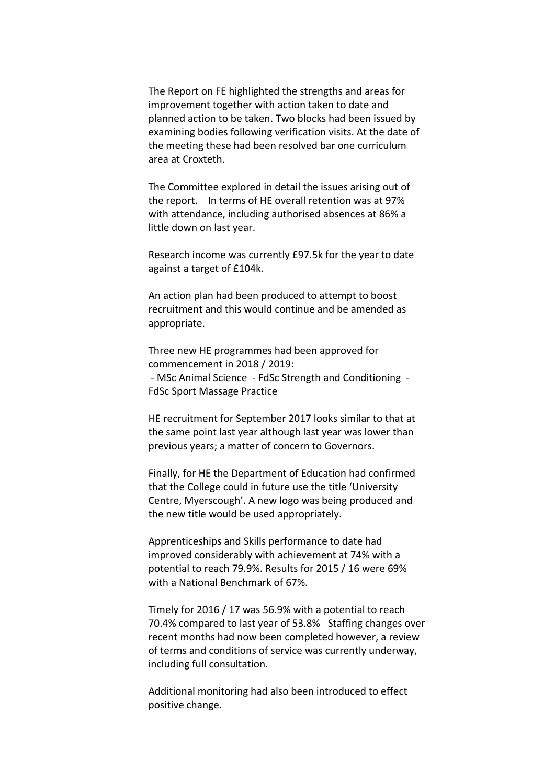The Report on FE highlighted the strengths and areas for improvement together with action taken to date and planned action to be taken. Two blocks had been issued by examining bodies following verification visits. At the date of the meeting these had been resolved bar one curriculum area at Croxteth.

The Committee explored in detail the issues arising out of the report. In terms of HE overall retention was at 97% with attendance, including authorised absences at 86% a little down on last year.

Research income was currently £97.5k for the year to date against a target of £104k.

An action plan had been produced to attempt to boost recruitment and this would continue and be amended as appropriate.

Three new HE programmes had been approved for commencement in 2018 / 2019: - MSc Animal Science - FdSc Strength and Conditioning - FdSc Sport Massage Practice

HE recruitment for September 2017 looks similar to that at the same point last year although last year was lower than previous years; a matter of concern to Governors.

Finally, for HE the Department of Education had confirmed that the College could in future use the title 'University Centre, Myerscough'. A new logo was being produced and the new title would be used appropriately.

Apprenticeships and Skills performance to date had improved considerably with achievement at 74% with a potential to reach 79.9%. Results for 2015 / 16 were 69% with a National Benchmark of 67%.

Timely for 2016 / 17 was 56.9% with a potential to reach 70.4% compared to last year of 53.8% Staffing changes over recent months had now been completed however, a review of terms and conditions of service was currently underway, including full consultation.

Additional monitoring had also been introduced to effect positive change.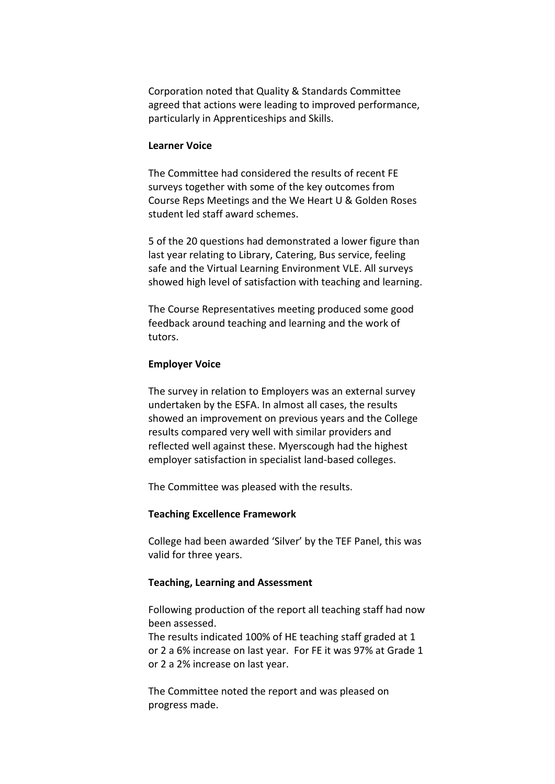Corporation noted that Quality & Standards Committee agreed that actions were leading to improved performance, particularly in Apprenticeships and Skills.

### **Learner Voice**

The Committee had considered the results of recent FE surveys together with some of the key outcomes from Course Reps Meetings and the We Heart U & Golden Roses student led staff award schemes.

5 of the 20 questions had demonstrated a lower figure than last year relating to Library, Catering, Bus service, feeling safe and the Virtual Learning Environment VLE. All surveys showed high level of satisfaction with teaching and learning.

The Course Representatives meeting produced some good feedback around teaching and learning and the work of tutors.

## **Employer Voice**

The survey in relation to Employers was an external survey undertaken by the ESFA. In almost all cases, the results showed an improvement on previous years and the College results compared very well with similar providers and reflected well against these. Myerscough had the highest employer satisfaction in specialist land-based colleges.

The Committee was pleased with the results.

### **Teaching Excellence Framework**

College had been awarded 'Silver' by the TEF Panel, this was valid for three years.

### **Teaching, Learning and Assessment**

Following production of the report all teaching staff had now been assessed.

The results indicated 100% of HE teaching staff graded at 1 or 2 a 6% increase on last year. For FE it was 97% at Grade 1 or 2 a 2% increase on last year.

The Committee noted the report and was pleased on progress made.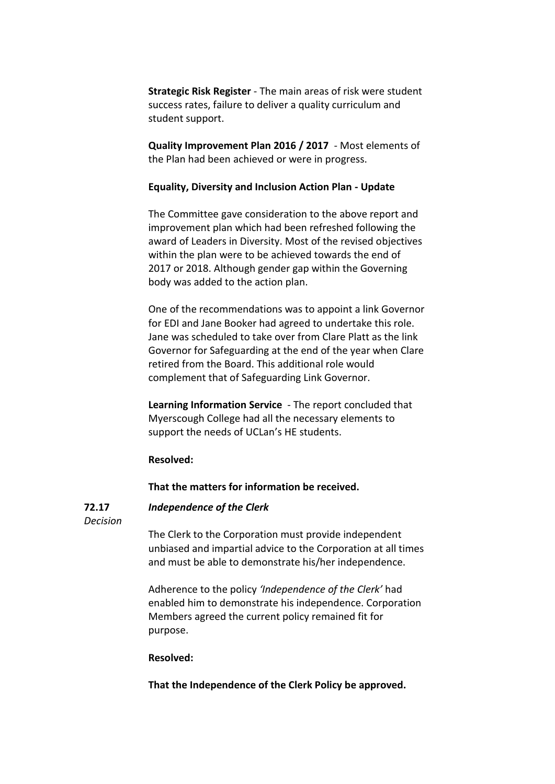**Strategic Risk Register** - The main areas of risk were student success rates, failure to deliver a quality curriculum and student support.

**Quality Improvement Plan 2016 / 2017** - Most elements of the Plan had been achieved or were in progress.

### **Equality, Diversity and Inclusion Action Plan - Update**

The Committee gave consideration to the above report and improvement plan which had been refreshed following the award of Leaders in Diversity. Most of the revised objectives within the plan were to be achieved towards the end of 2017 or 2018. Although gender gap within the Governing body was added to the action plan.

One of the recommendations was to appoint a link Governor for EDI and Jane Booker had agreed to undertake this role. Jane was scheduled to take over from Clare Platt as the link Governor for Safeguarding at the end of the year when Clare retired from the Board. This additional role would complement that of Safeguarding Link Governor.

**Learning Information Service** - The report concluded that Myerscough College had all the necessary elements to support the needs of UCLan's HE students.

## **Resolved:**

## **That the matters for information be received.**

#### **72.17** *Independence of the Clerk*

*Decision*

The Clerk to the Corporation must provide independent unbiased and impartial advice to the Corporation at all times and must be able to demonstrate his/her independence.

Adherence to the policy *'Independence of the Clerk'* had enabled him to demonstrate his independence. Corporation Members agreed the current policy remained fit for purpose.

### **Resolved:**

**That the Independence of the Clerk Policy be approved.**